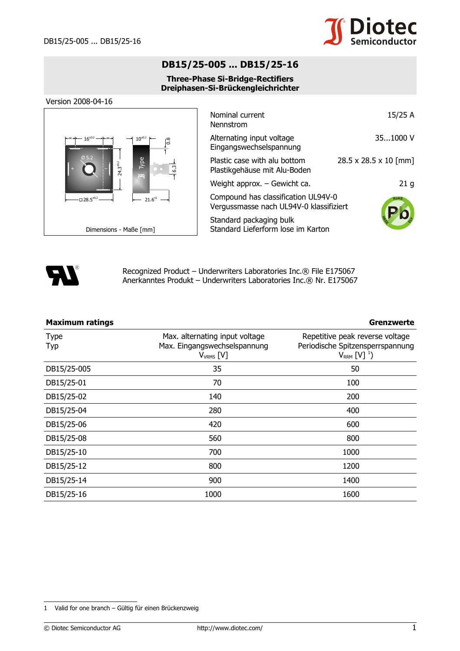

## **DB15/25-005 ... DB15/25-16**

## **Three-Phase Si-Bridge-Rectifiers Dreiphasen-Si-Brückengleichrichter**

Version 2008-04-16



| Nominal current<br>Nennstrom                                                   | 15/25 A               |
|--------------------------------------------------------------------------------|-----------------------|
| Alternating input voltage<br>Eingangswechselspannung                           | 351000V               |
| Plastic case with alu bottom<br>Plastikgehäuse mit Alu-Boden                   | 28.5 x 28.5 x 10 [mm] |
| Weight approx. - Gewicht ca.                                                   | 21 <sub>g</sub>       |
| Compound has classification UL94V-0<br>Vergussmasse nach UL94V-0 klassifiziert | <b>ROHS</b>           |
| Standard packaging bulk<br>Standard Lieferform lose im Karton                  |                       |



Recognized Product – Underwriters Laboratories Inc.® File E175067 Anerkanntes Produkt – Underwriters Laboratories Inc.® Nr. E175067

| <b>Maximum ratings</b> |                                                                                  | Grenzwerte                                                                                    |  |  |
|------------------------|----------------------------------------------------------------------------------|-----------------------------------------------------------------------------------------------|--|--|
| <b>Type</b><br>Typ     | Max. alternating input voltage<br>Max. Eingangswechselspannung<br>$V_{VRMS}$ [V] | Repetitive peak reverse voltage<br>Periodische Spitzensperrspannung<br>$V_{RRM}$ [V] $^{1}$ ) |  |  |
| DB15/25-005            | 35                                                                               | 50                                                                                            |  |  |
| DB15/25-01             | 70                                                                               | 100                                                                                           |  |  |
| DB15/25-02             | 140                                                                              | 200                                                                                           |  |  |
| DB15/25-04             | 280                                                                              | 400                                                                                           |  |  |
| DB15/25-06             | 420                                                                              | 600                                                                                           |  |  |
| DB15/25-08             | 560                                                                              | 800                                                                                           |  |  |
| DB15/25-10             | 700                                                                              | 1000                                                                                          |  |  |
| DB15/25-12             | 800                                                                              | 1200                                                                                          |  |  |
| DB15/25-14             | 900                                                                              | 1400                                                                                          |  |  |
| DB15/25-16             | 1000                                                                             | 1600                                                                                          |  |  |

<span id="page-0-0"></span><sup>1</sup> Valid for one branch – Gültig für einen Brückenzweig